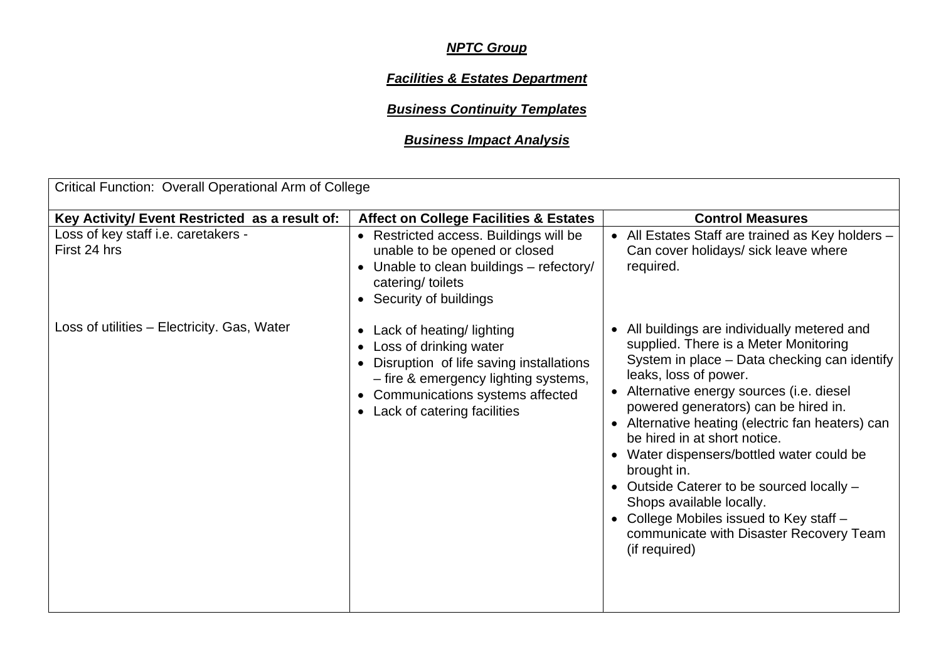## *NPTC Group*

## *Facilities & Estates Department*

## *Business Continuity Templates*

## *Business Impact Analysis*

| Critical Function: Overall Operational Arm of College |                                                                                                                                                                                                                                                     |                                                                                                                                                                                                                                                                                                                                                                                                                                                                                                                                                                                   |  |  |  |  |
|-------------------------------------------------------|-----------------------------------------------------------------------------------------------------------------------------------------------------------------------------------------------------------------------------------------------------|-----------------------------------------------------------------------------------------------------------------------------------------------------------------------------------------------------------------------------------------------------------------------------------------------------------------------------------------------------------------------------------------------------------------------------------------------------------------------------------------------------------------------------------------------------------------------------------|--|--|--|--|
| Key Activity/ Event Restricted as a result of:        | <b>Affect on College Facilities &amp; Estates</b>                                                                                                                                                                                                   | <b>Control Measures</b>                                                                                                                                                                                                                                                                                                                                                                                                                                                                                                                                                           |  |  |  |  |
| Loss of key staff i.e. caretakers -<br>First 24 hrs   | • Restricted access. Buildings will be<br>unable to be opened or closed<br>Unable to clean buildings - refectory/<br>$\bullet$<br>catering/ toilets<br>• Security of buildings                                                                      | • All Estates Staff are trained as Key holders -<br>Can cover holidays/ sick leave where<br>required.                                                                                                                                                                                                                                                                                                                                                                                                                                                                             |  |  |  |  |
| Loss of utilities - Electricity. Gas, Water           | Lack of heating/ lighting<br>$\bullet$<br>Loss of drinking water<br>$\bullet$<br>• Disruption of life saving installations<br>- fire & emergency lighting systems,<br>Communications systems affected<br>$\bullet$<br>• Lack of catering facilities | • All buildings are individually metered and<br>supplied. There is a Meter Monitoring<br>System in place - Data checking can identify<br>leaks, loss of power.<br>Alternative energy sources (i.e. diesel<br>powered generators) can be hired in.<br>• Alternative heating (electric fan heaters) can<br>be hired in at short notice.<br>• Water dispensers/bottled water could be<br>brought in.<br>• Outside Caterer to be sourced locally -<br>Shops available locally.<br>• College Mobiles issued to Key staff -<br>communicate with Disaster Recovery Team<br>(if required) |  |  |  |  |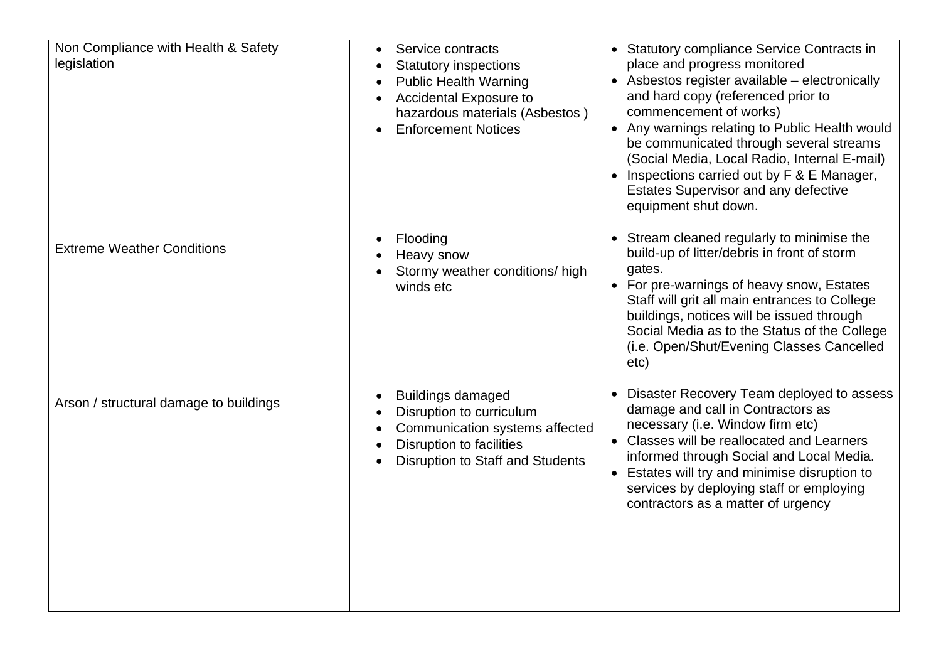| Non Compliance with Health & Safety<br>legislation | Service contracts<br><b>Statutory inspections</b><br><b>Public Health Warning</b><br>Accidental Exposure to<br>hazardous materials (Asbestos)<br><b>Enforcement Notices</b> | • Statutory compliance Service Contracts in<br>place and progress monitored<br>• Asbestos register available - electronically<br>and hard copy (referenced prior to<br>commencement of works)<br>• Any warnings relating to Public Health would<br>be communicated through several streams<br>(Social Media, Local Radio, Internal E-mail)<br>Inspections carried out by F & E Manager,<br>Estates Supervisor and any defective<br>equipment shut down. |
|----------------------------------------------------|-----------------------------------------------------------------------------------------------------------------------------------------------------------------------------|---------------------------------------------------------------------------------------------------------------------------------------------------------------------------------------------------------------------------------------------------------------------------------------------------------------------------------------------------------------------------------------------------------------------------------------------------------|
| <b>Extreme Weather Conditions</b>                  | Flooding<br>Heavy snow<br>Stormy weather conditions/ high<br>winds etc                                                                                                      | • Stream cleaned regularly to minimise the<br>build-up of litter/debris in front of storm<br>gates.<br>• For pre-warnings of heavy snow, Estates<br>Staff will grit all main entrances to College<br>buildings, notices will be issued through<br>Social Media as to the Status of the College<br>(i.e. Open/Shut/Evening Classes Cancelled<br>etc)                                                                                                     |
| Arson / structural damage to buildings             | <b>Buildings damaged</b><br>Disruption to curriculum<br>Communication systems affected<br><b>Disruption to facilities</b><br><b>Disruption to Staff and Students</b>        | • Disaster Recovery Team deployed to assess<br>damage and call in Contractors as<br>necessary (i.e. Window firm etc)<br>• Classes will be reallocated and Learners<br>informed through Social and Local Media.<br>• Estates will try and minimise disruption to<br>services by deploying staff or employing<br>contractors as a matter of urgency                                                                                                       |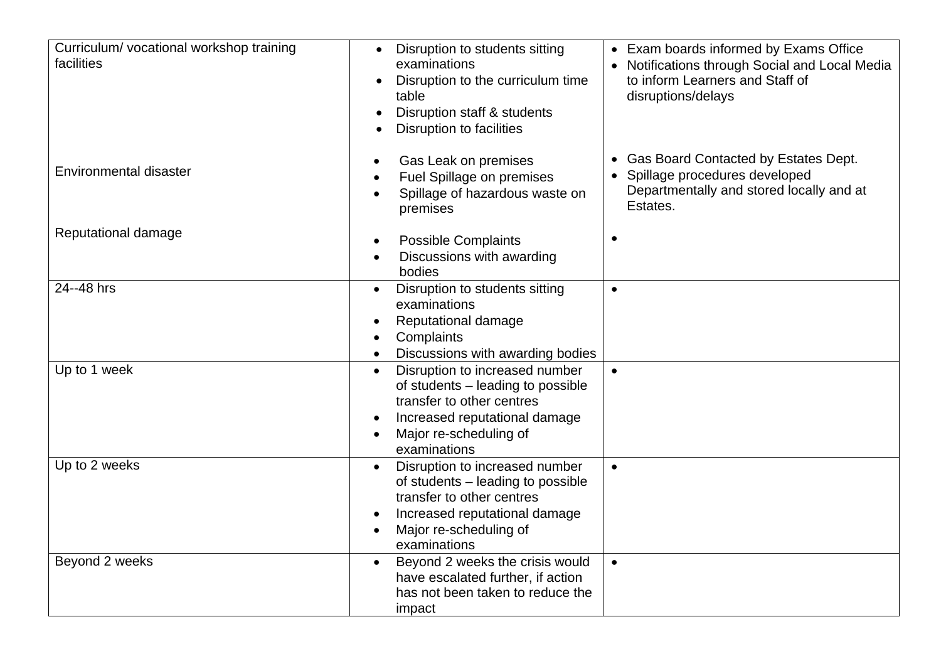| Curriculum/vocational workshop training<br>facilities | Disruption to students sitting<br>Exam boards informed by Exams Office<br>$\bullet$<br>examinations<br>Notifications through Social and Local Media<br>to inform Learners and Staff of<br>Disruption to the curriculum time<br>$\bullet$<br>disruptions/delays<br>table<br>Disruption staff & students<br>$\bullet$<br><b>Disruption to facilities</b> |  |
|-------------------------------------------------------|--------------------------------------------------------------------------------------------------------------------------------------------------------------------------------------------------------------------------------------------------------------------------------------------------------------------------------------------------------|--|
| Environmental disaster                                | Gas Board Contacted by Estates Dept.<br>Gas Leak on premises<br>$\bullet$<br>Spillage procedures developed<br>Fuel Spillage on premises<br>Departmentally and stored locally and at<br>Spillage of hazardous waste on<br>Estates.<br>premises                                                                                                          |  |
| Reputational damage                                   | <b>Possible Complaints</b><br>$\bullet$<br>Discussions with awarding<br>bodies                                                                                                                                                                                                                                                                         |  |
| 24--48 hrs                                            | Disruption to students sitting<br>$\bullet$<br>$\bullet$<br>examinations<br>Reputational damage<br>$\bullet$<br>Complaints<br>Discussions with awarding bodies                                                                                                                                                                                         |  |
| Up to 1 week                                          | Disruption to increased number<br>$\bullet$<br>$\bullet$<br>of students - leading to possible<br>transfer to other centres<br>Increased reputational damage<br>Major re-scheduling of<br>examinations                                                                                                                                                  |  |
| Up to 2 weeks                                         | Disruption to increased number<br>$\bullet$<br>$\bullet$<br>of students - leading to possible<br>transfer to other centres<br>Increased reputational damage<br>$\bullet$<br>Major re-scheduling of<br>$\bullet$<br>examinations                                                                                                                        |  |
| Beyond 2 weeks                                        | Beyond 2 weeks the crisis would<br>$\bullet$<br>$\bullet$<br>have escalated further, if action<br>has not been taken to reduce the<br>impact                                                                                                                                                                                                           |  |